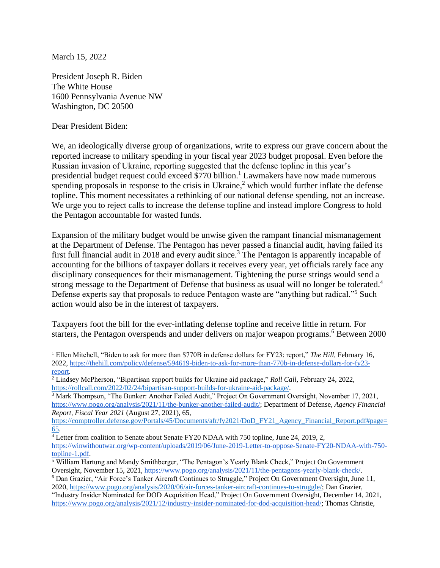March 15, 2022

President Joseph R. Biden The White House 1600 Pennsylvania Avenue NW Washington, DC 20500

Dear President Biden:

We, an ideologically diverse group of organizations, write to express our grave concern about the reported increase to military spending in your fiscal year 2023 budget proposal. Even before the Russian invasion of Ukraine, reporting suggested that the defense topline in this year's presidential budget request could exceed  $$770$  billion.<sup>1</sup> Lawmakers have now made numerous spending proposals in response to the crisis in Ukraine,<sup>2</sup> which would further inflate the defense topline. This moment necessitates a rethinking of our national defense spending, not an increase. We urge you to reject calls to increase the defense topline and instead implore Congress to hold the Pentagon accountable for wasted funds.

Expansion of the military budget would be unwise given the rampant financial mismanagement at the Department of Defense. The Pentagon has never passed a financial audit, having failed its first full financial audit in 2018 and every audit since.<sup>3</sup> The Pentagon is apparently incapable of accounting for the billions of taxpayer dollars it receives every year, yet officials rarely face any disciplinary consequences for their mismanagement. Tightening the purse strings would send a strong message to the Department of Defense that business as usual will no longer be tolerated.<sup>4</sup> Defense experts say that proposals to reduce Pentagon waste are "anything but radical."<sup>5</sup> Such action would also be in the interest of taxpayers.

Taxpayers foot the bill for the ever-inflating defense topline and receive little in return. For starters, the Pentagon overspends and under delivers on major weapon programs.<sup>6</sup> Between 2000

<sup>3</sup> Mark Thompson, "The Bunker: Another Failed Audit," Project On Government Oversight, November 17, 2021, [https://www.pogo.org/analysis/2021/11/the-bunker-another-failed-audit/;](https://www.pogo.org/analysis/2021/11/the-bunker-another-failed-audit/) Department of Defense, *Agency Financial Report, Fiscal Year 2021* (August 27, 2021), 65,

[https://comptroller.defense.gov/Portals/45/Documents/afr/fy2021/DoD\\_FY21\\_Agency\\_Financial\\_Report.pdf#page=](https://comptroller.defense.gov/Portals/45/Documents/afr/fy2021/DoD_FY21_Agency_Financial_Report.pdf#page=65) [65.](https://comptroller.defense.gov/Portals/45/Documents/afr/fy2021/DoD_FY21_Agency_Financial_Report.pdf#page=65)

<sup>&</sup>lt;sup>1</sup> Ellen Mitchell, "Biden to ask for more than \$770B in defense dollars for FY23: report," *The Hill*, February 16, 2022, [https://thehill.com/policy/defense/594619-biden-to-ask-for-more-than-770b-in-defense-dollars-for-fy23](https://thehill.com/policy/defense/594619-biden-to-ask-for-more-than-770b-in-defense-dollars-for-fy23-report) [report.](https://thehill.com/policy/defense/594619-biden-to-ask-for-more-than-770b-in-defense-dollars-for-fy23-report)

<sup>2</sup> Lindsey McPherson, "Bipartisan support builds for Ukraine aid package," *Roll Call,* February 24, 2022, [https://rollcall.com/2022/02/24/bipartisan-support-builds-for-ukraine-aid-package/.](https://rollcall.com/2022/02/24/bipartisan-support-builds-for-ukraine-aid-package/)

<sup>4</sup> Letter from coalition to Senate about Senate FY20 NDAA with 750 topline, June 24, 2019, 2, [https://winwithoutwar.org/wp-content/uploads/2019/06/June-2019-Letter-to-oppose-Senate-FY20-NDAA-with-750](https://winwithoutwar.org/wp-content/uploads/2019/06/June-2019-Letter-to-oppose-Senate-FY20-NDAA-with-750-topline-1.pdf) [topline-1.pdf.](https://winwithoutwar.org/wp-content/uploads/2019/06/June-2019-Letter-to-oppose-Senate-FY20-NDAA-with-750-topline-1.pdf)

<sup>&</sup>lt;sup>5</sup> William Hartung and Mandy Smithberger, "The Pentagon's Yearly Blank Check," Project On Government Oversight, November 15, 2021, [https://www.pogo.org/analysis/2021/11/the-pentagons-yearly-blank-check/.](https://www.pogo.org/analysis/2021/11/the-pentagons-yearly-blank-check/)

<sup>6</sup> Dan Grazier, "Air Force's Tanker Aircraft Continues to Struggle," Project On Government Oversight, June 11, 2020, [https://www.pogo.org/analysis/2020/06/air-forces-tanker-aircraft-continues-to-struggle/;](https://www.pogo.org/analysis/2020/06/air-forces-tanker-aircraft-continues-to-struggle/) Dan Grazier, "Industry Insider Nominated for DOD Acquisition Head," Project On Government Oversight, December 14, 2021, [https://www.pogo.org/analysis/2021/12/industry-insider-nominated-for-dod-acquisition-head/;](https://www.pogo.org/analysis/2021/12/industry-insider-nominated-for-dod-acquisition-head/) Thomas Christie,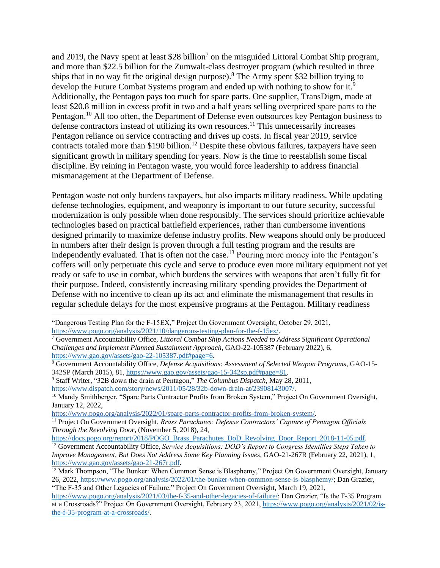and 2019, the Navy spent at least  $$28$  billion<sup>7</sup> on the misguided Littoral Combat Ship program, and more than \$22.5 billion for the Zumwalt-class destroyer program (which resulted in three ships that in no way fit the original design purpose).<sup>8</sup> The Army spent \$32 billion trying to develop the Future Combat Systems program and ended up with nothing to show for it.<sup>9</sup> Additionally, the Pentagon pays too much for spare parts. One supplier, TransDigm, made at least \$20.8 million in excess profit in two and a half years selling overpriced spare parts to the Pentagon.<sup>10</sup> All too often, the Department of Defense even outsources key Pentagon business to defense contractors instead of utilizing its own resources.<sup>11</sup> This unnecessarily increases Pentagon reliance on service contracting and drives up costs. In fiscal year 2019, service contracts totaled more than \$190 billion.<sup>12</sup> Despite these obvious failures, taxpayers have seen significant growth in military spending for years. Now is the time to reestablish some fiscal discipline. By reining in Pentagon waste, you would force leadership to address financial mismanagement at the Department of Defense.

Pentagon waste not only burdens taxpayers, but also impacts military readiness. While updating defense technologies, equipment, and weaponry is important to our future security, successful modernization is only possible when done responsibly. The services should prioritize achievable technologies based on practical battlefield experiences, rather than cumbersome inventions designed primarily to maximize defense industry profits. New weapons should only be produced in numbers after their design is proven through a full testing program and the results are independently evaluated. That is often not the case.<sup>13</sup> Pouring more money into the Pentagon's coffers will only perpetuate this cycle and serve to produce even more military equipment not yet ready or safe to use in combat, which burdens the services with weapons that aren't fully fit for their purpose. Indeed, consistently increasing military spending provides the Department of Defense with no incentive to clean up its act and eliminate the mismanagement that results in regular schedule delays for the most expensive programs at the Pentagon. Military readiness

<sup>&</sup>quot;Dangerous Testing Plan for the F-15EX," Project On Government Oversight, October 29, 2021, [https://www.pogo.org/analysis/2021/10/dangerous-testing-plan-for-the-f-15ex/.](https://www.pogo.org/analysis/2021/10/dangerous-testing-plan-for-the-f-15ex/)

<sup>7</sup> Government Accountability Office, *Littoral Combat Ship Actions Needed to Address Significant Operational Challenges and Implement Planned Sustainment Approach*, GAO-22-105387 (February 2022), 6, [https://www.gao.gov/assets/gao-22-105387.pdf#page=6.](https://www.gao.gov/assets/gao-22-105387.pdf#page=6)

<sup>8</sup> Government Accountability Office, *Defense Acquisitions: Assessment of Selected Weapon Programs*, GAO-15- 342SP (March 2015), 81, [https://www.gao.gov/assets/gao-15-342sp.pdf#page=81.](https://www.gao.gov/assets/gao-15-342sp.pdf#page=81)

<sup>9</sup> Staff Writer, "32B down the drain at Pentagon," *The Columbus Dispatch,* May 28, 2011, [https://www.dispatch.com/story/news/2011/05/28/32b-down-drain-at/23908143007/.](https://www.dispatch.com/story/news/2011/05/28/32b-down-drain-at/23908143007/)

<sup>&</sup>lt;sup>10</sup> Mandy Smithberger, "Spare Parts Contractor Profits from Broken System," Project On Government Oversight, January 12, 2022,

[https://www.pogo.org/analysis/2022/01/spare-parts-contractor-profits-from-broken-system/.](https://www.pogo.org/analysis/2022/01/spare-parts-contractor-profits-from-broken-system/)

<sup>11</sup> Project On Government Oversight, *Brass Parachutes: Defense Contractors' Capture of Pentagon Officials Through the Revolving Door*, (November 5, 2018), 24,

[https://docs.pogo.org/report/2018/POGO\\_Brass\\_Parachutes\\_DoD\\_Revolving\\_Door\\_Report\\_2018-11-05.pdf.](https://docs.pogo.org/report/2018/POGO_Brass_Parachutes_DoD_Revolving_Door_Report_2018-11-05.pdf)

<sup>&</sup>lt;sup>12</sup> Government Accountability Office, *Service Acquisitions: DOD's Report to Congress Identifies Steps Taken to Improve Management, But Does Not Address Some Key Planning Issues*, GAO-21-267R (February 22, 2021), 1, [https://www.gao.gov/assets/gao-21-267r.pdf.](https://www.gao.gov/assets/gao-21-267r.pdf)

<sup>&</sup>lt;sup>13</sup> Mark Thompson, "The Bunker: When Common Sense is Blasphemy," Project On Government Oversight, January 26, 2022, [https://www.pogo.org/analysis/2022/01/the-bunker-when-common-sense-is-blasphemy/;](https://www.pogo.org/analysis/2022/01/the-bunker-when-common-sense-is-blasphemy/) Dan Grazier, "The F-35 and Other Legacies of Failure," Project On Government Oversight, March 19, 2021,

[https://www.pogo.org/analysis/2021/03/the-f-35-and-other-legacies-of-failure/;](https://www.pogo.org/analysis/2021/03/the-f-35-and-other-legacies-of-failure/) Dan Grazier, "Is the F-35 Program at a Crossroads?" Project On Government Oversight, February 23, 2021[, https://www.pogo.org/analysis/2021/02/is](https://www.pogo.org/analysis/2021/02/is-the-f-35-program-at-a-crossroads/)[the-f-35-program-at-a-crossroads/.](https://www.pogo.org/analysis/2021/02/is-the-f-35-program-at-a-crossroads/)